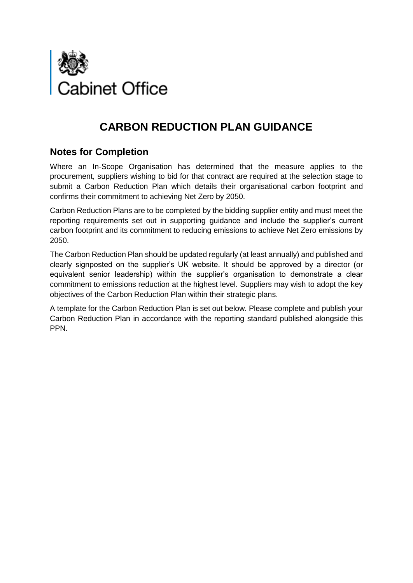

## **CARBON REDUCTION PLAN GUIDANCE**

## **Notes for Completion**

Where an In-Scope Organisation has determined that the measure applies to the procurement, suppliers wishing to bid for that contract are required at the selection stage to submit a Carbon Reduction Plan which details their organisational carbon footprint and confirms their commitment to achieving Net Zero by 2050.

Carbon Reduction Plans are to be completed by the bidding supplier entity and must meet the reporting requirements set out in supporting guidance and include the supplier's current carbon footprint and its commitment to reducing emissions to achieve Net Zero emissions by 2050.

The Carbon Reduction Plan should be updated regularly (at least annually) and published and clearly signposted on the supplier's UK website. It should be approved by a director (or equivalent senior leadership) within the supplier's organisation to demonstrate a clear commitment to emissions reduction at the highest level. Suppliers may wish to adopt the key objectives of the Carbon Reduction Plan within their strategic plans.

A template for the Carbon Reduction Plan is set out below. Please complete and publish your Carbon Reduction Plan in accordance with the reporting standard published alongside this PPN.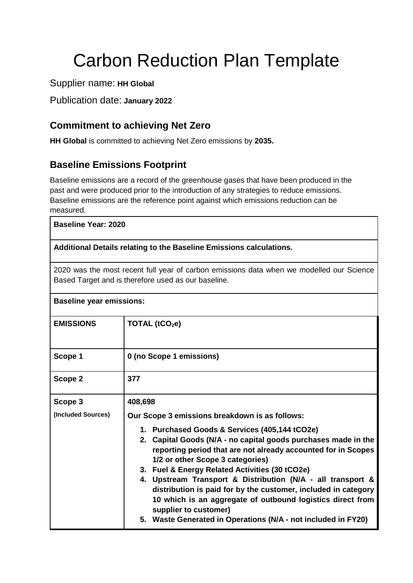# Carbon Reduction Plan Template

Supplier name: **HH Global**

Publication date: **January 2022**

## **Commitment to achieving Net Zero**

**HH Global** is committed to achieving Net Zero emissions by **2035.**

## **Baseline Emissions Footprint**

Baseline emissions are a record of the greenhouse gases that have been produced in the past and were produced prior to the introduction of any strategies to reduce emissions. Baseline emissions are the reference point against which emissions reduction can be measured.

#### **Baseline Year: 2020**

#### **Additional Details relating to the Baseline Emissions calculations.**

2020 was the most recent full year of carbon emissions data when we modelled our Science Based Target and is therefore used as our baseline.

| <b>Baseline year emissions:</b> |                                                                                                                                                                                                                                                                                                                                                                                                                                                                                                |  |  |
|---------------------------------|------------------------------------------------------------------------------------------------------------------------------------------------------------------------------------------------------------------------------------------------------------------------------------------------------------------------------------------------------------------------------------------------------------------------------------------------------------------------------------------------|--|--|
| <b>EMISSIONS</b>                | TOTAL (tCO <sub>2</sub> e)                                                                                                                                                                                                                                                                                                                                                                                                                                                                     |  |  |
| Scope 1                         | 0 (no Scope 1 emissions)                                                                                                                                                                                                                                                                                                                                                                                                                                                                       |  |  |
| Scope 2                         | 377                                                                                                                                                                                                                                                                                                                                                                                                                                                                                            |  |  |
| Scope 3                         | 408,698                                                                                                                                                                                                                                                                                                                                                                                                                                                                                        |  |  |
| (Included Sources)              | Our Scope 3 emissions breakdown is as follows:                                                                                                                                                                                                                                                                                                                                                                                                                                                 |  |  |
|                                 | 1. Purchased Goods & Services (405,144 tCO2e)<br>2. Capital Goods (N/A - no capital goods purchases made in the<br>reporting period that are not already accounted for in Scopes<br>1/2 or other Scope 3 categories)<br>3. Fuel & Energy Related Activities (30 tCO2e)<br>4. Upstream Transport & Distribution (N/A - all transport &<br>distribution is paid for by the customer, included in category<br>10 which is an aggregate of outbound logistics direct from<br>supplier to customer) |  |  |
|                                 | 5. Waste Generated in Operations (N/A - not included in FY20)                                                                                                                                                                                                                                                                                                                                                                                                                                  |  |  |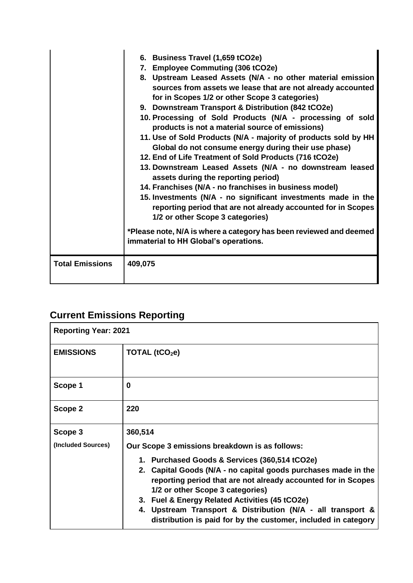|                        | 6. Business Travel (1,659 tCO2e)<br>7. Employee Commuting (306 tCO2e)<br>8. Upstream Leased Assets (N/A - no other material emission<br>sources from assets we lease that are not already accounted<br>for in Scopes 1/2 or other Scope 3 categories)<br>9. Downstream Transport & Distribution (842 tCO2e)<br>10. Processing of Sold Products (N/A - processing of sold<br>products is not a material source of emissions)<br>11. Use of Sold Products (N/A - majority of products sold by HH<br>Global do not consume energy during their use phase)<br>12. End of Life Treatment of Sold Products (716 tCO2e)<br>13. Downstream Leased Assets (N/A - no downstream leased<br>assets during the reporting period)<br>14. Franchises (N/A - no franchises in business model)<br>15. Investments (N/A - no significant investments made in the<br>reporting period that are not already accounted for in Scopes<br>1/2 or other Scope 3 categories)<br>*Please note, N/A is where a category has been reviewed and deemed<br>immaterial to HH Global's operations. |
|------------------------|--------------------------------------------------------------------------------------------------------------------------------------------------------------------------------------------------------------------------------------------------------------------------------------------------------------------------------------------------------------------------------------------------------------------------------------------------------------------------------------------------------------------------------------------------------------------------------------------------------------------------------------------------------------------------------------------------------------------------------------------------------------------------------------------------------------------------------------------------------------------------------------------------------------------------------------------------------------------------------------------------------------------------------------------------------------------|
| <b>Total Emissions</b> | 409,075                                                                                                                                                                                                                                                                                                                                                                                                                                                                                                                                                                                                                                                                                                                                                                                                                                                                                                                                                                                                                                                            |

## **Current Emissions Reporting**

| <b>Reporting Year: 2021</b> |                                                                                                                                                                                                                                                                                                                                                                                                         |  |
|-----------------------------|---------------------------------------------------------------------------------------------------------------------------------------------------------------------------------------------------------------------------------------------------------------------------------------------------------------------------------------------------------------------------------------------------------|--|
| <b>EMISSIONS</b>            | TOTAL $(tCO2e)$                                                                                                                                                                                                                                                                                                                                                                                         |  |
| Scope 1                     | 0                                                                                                                                                                                                                                                                                                                                                                                                       |  |
| Scope 2                     | 220                                                                                                                                                                                                                                                                                                                                                                                                     |  |
| Scope 3                     | 360,514                                                                                                                                                                                                                                                                                                                                                                                                 |  |
| (Included Sources)          | Our Scope 3 emissions breakdown is as follows:                                                                                                                                                                                                                                                                                                                                                          |  |
|                             | 1. Purchased Goods & Services (360,514 tCO2e)<br>2. Capital Goods (N/A - no capital goods purchases made in the<br>reporting period that are not already accounted for in Scopes<br>1/2 or other Scope 3 categories)<br>3. Fuel & Energy Related Activities (45 tCO2e)<br>4. Upstream Transport & Distribution (N/A - all transport &<br>distribution is paid for by the customer, included in category |  |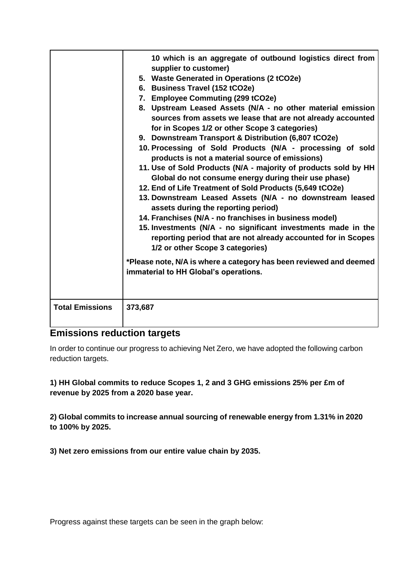|                        | 10 which is an aggregate of outbound logistics direct from<br>supplier to customer)<br>5. Waste Generated in Operations (2 tCO2e)<br>6. Business Travel (152 tCO2e)<br>7. Employee Commuting (299 tCO2e)<br>8. Upstream Leased Assets (N/A - no other material emission<br>sources from assets we lease that are not already accounted<br>for in Scopes 1/2 or other Scope 3 categories)<br>9. Downstream Transport & Distribution (6,807 tCO2e)<br>10. Processing of Sold Products (N/A - processing of sold<br>products is not a material source of emissions)<br>11. Use of Sold Products (N/A - majority of products sold by HH<br>Global do not consume energy during their use phase)<br>12. End of Life Treatment of Sold Products (5,649 tCO2e)<br>13. Downstream Leased Assets (N/A - no downstream leased<br>assets during the reporting period)<br>14. Franchises (N/A - no franchises in business model)<br>15. Investments (N/A - no significant investments made in the<br>reporting period that are not already accounted for in Scopes<br>1/2 or other Scope 3 categories)<br>*Please note, N/A is where a category has been reviewed and deemed<br>immaterial to HH Global's operations. |
|------------------------|-----------------------------------------------------------------------------------------------------------------------------------------------------------------------------------------------------------------------------------------------------------------------------------------------------------------------------------------------------------------------------------------------------------------------------------------------------------------------------------------------------------------------------------------------------------------------------------------------------------------------------------------------------------------------------------------------------------------------------------------------------------------------------------------------------------------------------------------------------------------------------------------------------------------------------------------------------------------------------------------------------------------------------------------------------------------------------------------------------------------------------------------------------------------------------------------------------------|
| <b>Total Emissions</b> | 373,687                                                                                                                                                                                                                                                                                                                                                                                                                                                                                                                                                                                                                                                                                                                                                                                                                                                                                                                                                                                                                                                                                                                                                                                                   |

#### **Emissions reduction targets**

In order to continue our progress to achieving Net Zero, we have adopted the following carbon reduction targets.

#### **1) HH Global commits to reduce Scopes 1, 2 and 3 GHG emissions 25% per £m of revenue by 2025 from a 2020 base year.**

**2) Global commits to increase annual sourcing of renewable energy from 1.31% in 2020 to 100% by 2025.** 

**3) Net zero emissions from our entire value chain by 2035.** 

Progress against these targets can be seen in the graph below: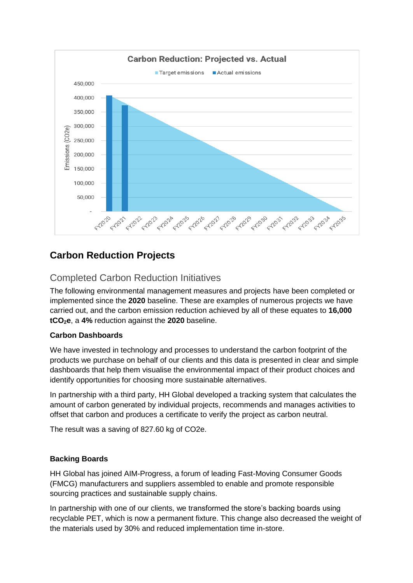

## **Carbon Reduction Projects**

### Completed Carbon Reduction Initiatives

The following environmental management measures and projects have been completed or implemented since the **2020** baseline. These are examples of numerous projects we have carried out, and the carbon emission reduction achieved by all of these equates to **16,000 tCO2e**, a **4%** reduction against the **2020** baseline.

#### **Carbon Dashboards**

We have invested in technology and processes to understand the carbon footprint of the products we purchase on behalf of our clients and this data is presented in clear and simple dashboards that help them visualise the environmental impact of their product choices and identify opportunities for choosing more sustainable alternatives.

In partnership with a third party, HH Global developed a tracking system that calculates the amount of carbon generated by individual projects, recommends and manages activities to offset that carbon and produces a certificate to verify the project as carbon neutral.

The result was a saving of 827.60 kg of CO2e.

#### **Backing Boards**

HH Global has joined AIM-Progress, a forum of leading Fast-Moving Consumer Goods (FMCG) manufacturers and suppliers assembled to enable and promote responsible sourcing practices and sustainable supply chains.

In partnership with one of our clients, we transformed the store's backing boards using recyclable PET, which is now a permanent fixture. This change also decreased the weight of the materials used by 30% and reduced implementation time in-store.